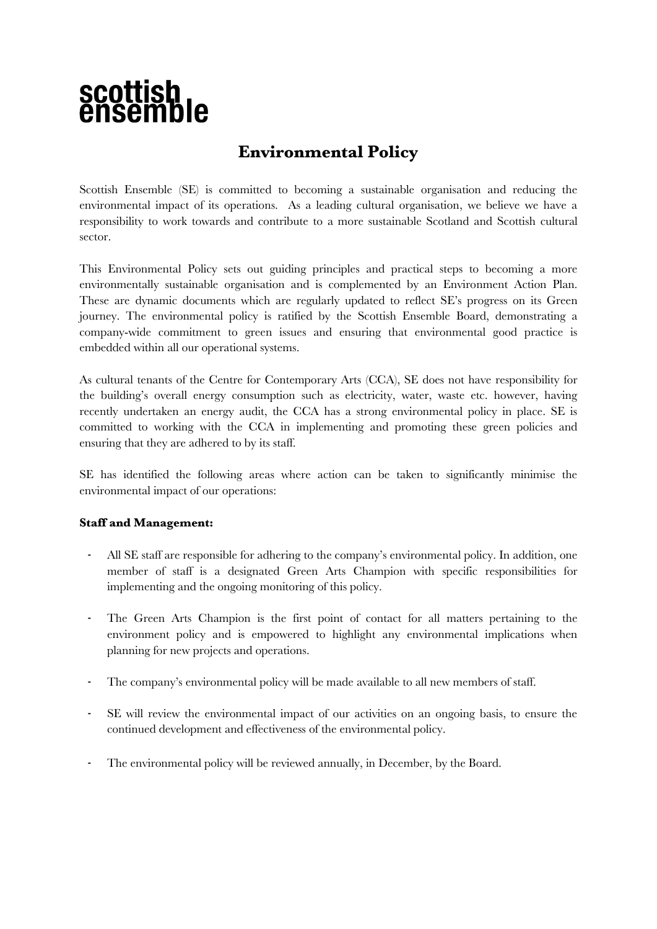# scottish<br>ensembl

# **Environmental Policy**

Scottish Ensemble (SE) is committed to becoming a sustainable organisation and reducing the environmental impact of its operations. As a leading cultural organisation, we believe we have a responsibility to work towards and contribute to a more sustainable Scotland and Scottish cultural sector.

This Environmental Policy sets out guiding principles and practical steps to becoming a more environmentally sustainable organisation and is complemented by an Environment Action Plan. These are dynamic documents which are regularly updated to reflect SE's progress on its Green journey. The environmental policy is ratified by the Scottish Ensemble Board, demonstrating a company-wide commitment to green issues and ensuring that environmental good practice is embedded within all our operational systems.

As cultural tenants of the Centre for Contemporary Arts (CCA), SE does not have responsibility for the building's overall energy consumption such as electricity, water, waste etc. however, having recently undertaken an energy audit, the CCA has a strong environmental policy in place. SE is committed to working with the CCA in implementing and promoting these green policies and ensuring that they are adhered to by its staff.

SE has identified the following areas where action can be taken to significantly minimise the environmental impact of our operations:

### **Staff and Management:**

- All SE staff are responsible for adhering to the company's environmental policy. In addition, one member of staff is a designated Green Arts Champion with specific responsibilities for implementing and the ongoing monitoring of this policy.
- The Green Arts Champion is the first point of contact for all matters pertaining to the environment policy and is empowered to highlight any environmental implications when planning for new projects and operations.
- The company's environmental policy will be made available to all new members of staff.
- SE will review the environmental impact of our activities on an ongoing basis, to ensure the continued development and effectiveness of the environmental policy.
- The environmental policy will be reviewed annually, in December, by the Board.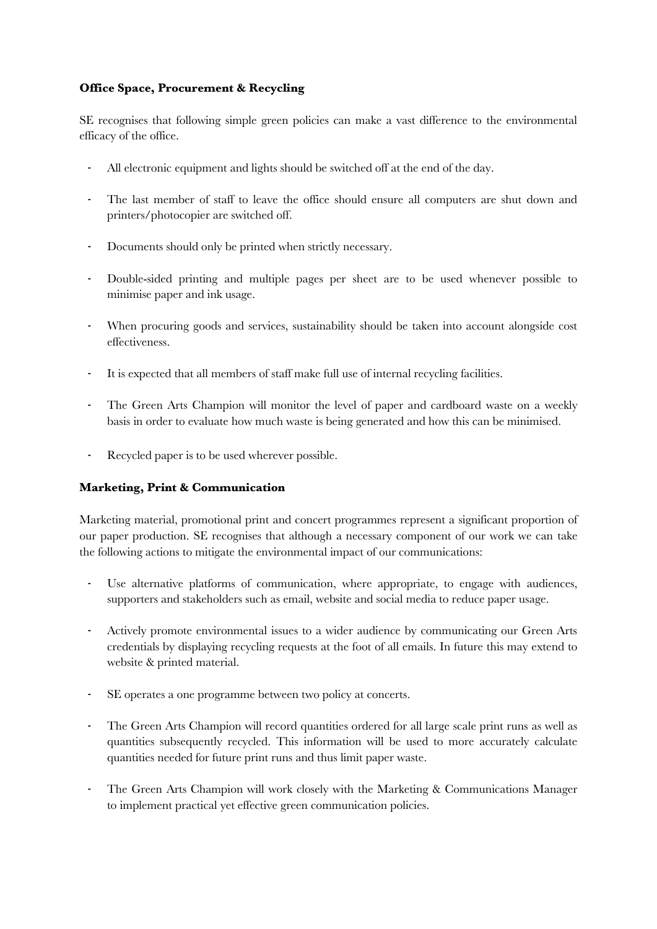## **Office Space, Procurement & Recycling**

SE recognises that following simple green policies can make a vast difference to the environmental efficacy of the office.

- All electronic equipment and lights should be switched off at the end of the day.
- The last member of staff to leave the office should ensure all computers are shut down and printers/photocopier are switched off.
- Documents should only be printed when strictly necessary.
- Double-sided printing and multiple pages per sheet are to be used whenever possible to minimise paper and ink usage.
- When procuring goods and services, sustainability should be taken into account alongside cost effectiveness.
- It is expected that all members of staff make full use of internal recycling facilities.
- The Green Arts Champion will monitor the level of paper and cardboard waste on a weekly basis in order to evaluate how much waste is being generated and how this can be minimised.
- Recycled paper is to be used wherever possible.

### **Marketing, Print & Communication**

Marketing material, promotional print and concert programmes represent a significant proportion of our paper production. SE recognises that although a necessary component of our work we can take the following actions to mitigate the environmental impact of our communications:

- Use alternative platforms of communication, where appropriate, to engage with audiences, supporters and stakeholders such as email, website and social media to reduce paper usage.
- Actively promote environmental issues to a wider audience by communicating our Green Arts credentials by displaying recycling requests at the foot of all emails. In future this may extend to website & printed material.
- SE operates a one programme between two policy at concerts.
- The Green Arts Champion will record quantities ordered for all large scale print runs as well as quantities subsequently recycled. This information will be used to more accurately calculate quantities needed for future print runs and thus limit paper waste.
- The Green Arts Champion will work closely with the Marketing & Communications Manager to implement practical yet effective green communication policies.